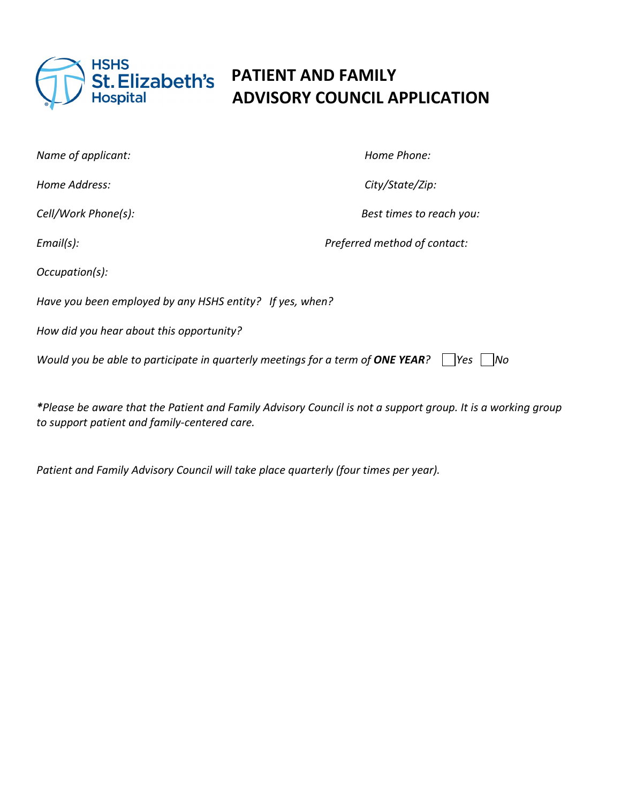

## HSHS<br> **St. Elizabeth's** PATIENT AND FAMILY<br>
Hospital ADVISORY COUNCIL A **ADVISORY COUNCIL APPLICATION**

| Name of applicant:                                                                              | Home Phone:                  |  |
|-------------------------------------------------------------------------------------------------|------------------------------|--|
| Home Address:                                                                                   | City/State/Zip:              |  |
| Cell/Work Phone(s):                                                                             | Best times to reach you:     |  |
| Email(s):                                                                                       | Preferred method of contact: |  |
| Occupation(s):                                                                                  |                              |  |
| Have you been employed by any HSHS entity? If yes, when?                                        |                              |  |
| How did you hear about this opportunity?                                                        |                              |  |
| Would you be able to participate in quarterly meetings for a term of ONE YEAR?<br> Yes <br>INo. |                              |  |
|                                                                                                 |                              |  |

*\*Please be aware that the Patient and Family Advisory Council is not a support group. It is a working group to support patient and family-centered care.*

*Patient and Family Advisory Council will take place quarterly (four times per year).*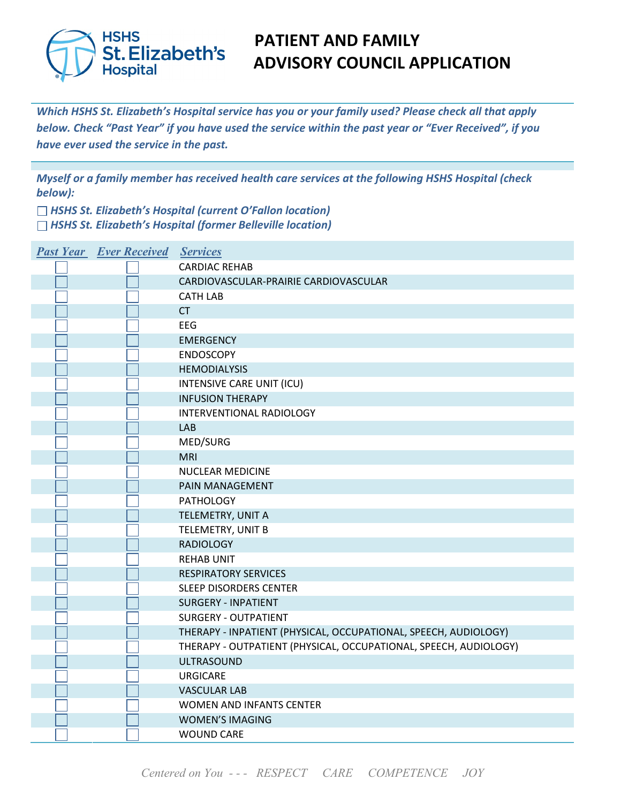

### **FATIENT AND FAMILY<br>St. Elizabeth's ADVISORY COUNCIL A ADVISORY COUNCIL APPLICATION**

*Which HSHS St. Elizabeth's Hospital service has you or your family used? Please check all that apply below. Check "Past Year" if you have used the service within the past year or "Ever Received", if you have ever used the service in the past.*

*Myself or a family member has received health care services at the following HSHS Hospital (check below):*

*HSHS St. Elizabeth's Hospital (current O'Fallon location) HSHS St. Elizabeth's Hospital (former Belleville location)*

| <b>Past Year Ever Received Services</b> |                                                                  |
|-----------------------------------------|------------------------------------------------------------------|
|                                         | <b>CARDIAC REHAB</b>                                             |
|                                         | CARDIOVASCULAR-PRAIRIE CARDIOVASCULAR                            |
|                                         | <b>CATH LAB</b>                                                  |
|                                         | <b>CT</b>                                                        |
|                                         | EEG                                                              |
|                                         | <b>EMERGENCY</b>                                                 |
|                                         | <b>ENDOSCOPY</b>                                                 |
|                                         | <b>HEMODIALYSIS</b>                                              |
|                                         | INTENSIVE CARE UNIT (ICU)                                        |
|                                         | <b>INFUSION THERAPY</b>                                          |
|                                         | INTERVENTIONAL RADIOLOGY                                         |
|                                         | LAB                                                              |
|                                         | MED/SURG                                                         |
|                                         | <b>MRI</b>                                                       |
|                                         | <b>NUCLEAR MEDICINE</b>                                          |
|                                         | PAIN MANAGEMENT                                                  |
|                                         | <b>PATHOLOGY</b>                                                 |
|                                         | TELEMETRY, UNIT A                                                |
|                                         | TELEMETRY, UNIT B                                                |
|                                         | <b>RADIOLOGY</b>                                                 |
|                                         | <b>REHAB UNIT</b>                                                |
|                                         | <b>RESPIRATORY SERVICES</b>                                      |
|                                         | <b>SLEEP DISORDERS CENTER</b>                                    |
|                                         | <b>SURGERY - INPATIENT</b>                                       |
|                                         | <b>SURGERY - OUTPATIENT</b>                                      |
|                                         | THERAPY - INPATIENT (PHYSICAL, OCCUPATIONAL, SPEECH, AUDIOLOGY)  |
|                                         | THERAPY - OUTPATIENT (PHYSICAL, OCCUPATIONAL, SPEECH, AUDIOLOGY) |
|                                         | <b>ULTRASOUND</b>                                                |
|                                         | <b>URGICARE</b>                                                  |
|                                         | <b>VASCULAR LAB</b>                                              |
|                                         | WOMEN AND INFANTS CENTER                                         |
|                                         | <b>WOMEN'S IMAGING</b>                                           |
|                                         | <b>WOUND CARE</b>                                                |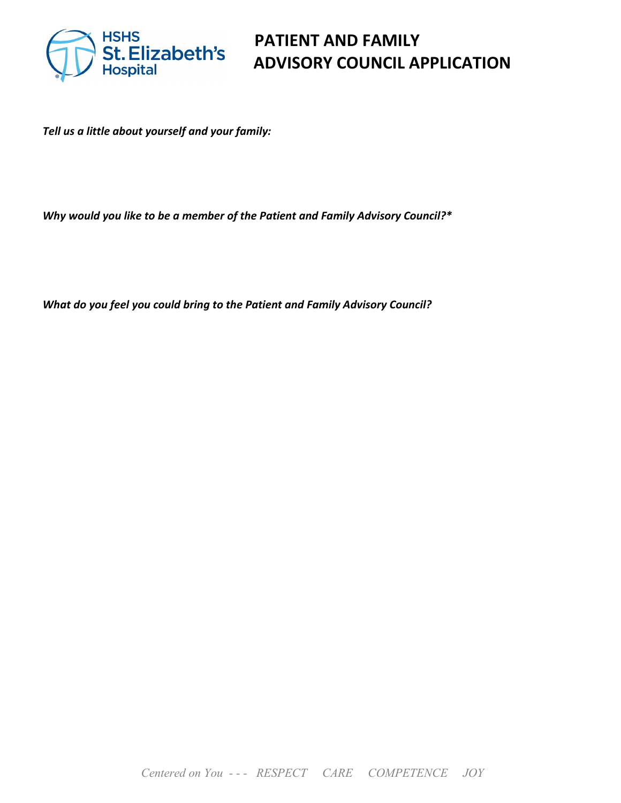

# **ADVISORY COUNCIL APPLICATION**

*Tell us a little about yourself and your family:* 

*Why would you like to be a member of the Patient and Family Advisory Council?\**

*What do you feel you could bring to the Patient and Family Advisory Council?*